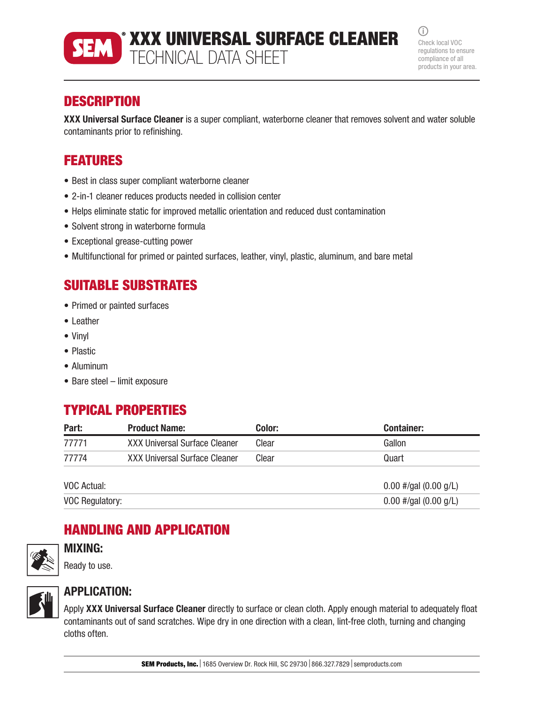

XXX UNIVERSAL SURFACE CLEANER TECHNICAL DATA SHEET

 $\bigcirc$ Check local VOC regulations to ensure compliance of all products in your area.

### **DESCRIPTION**

XXX Universal Surface Cleaner is a super compliant, waterborne cleaner that removes solvent and water soluble contaminants prior to refinishing.

# FEATURES

- Best in class super compliant waterborne cleaner
- 2-in-1 cleaner reduces products needed in collision center
- Helps eliminate static for improved metallic orientation and reduced dust contamination
- Solvent strong in waterborne formula
- Exceptional grease-cutting power
- Multifunctional for primed or painted surfaces, leather, vinyl, plastic, aluminum, and bare metal

## SUITABLE SUBSTRATES

- Primed or painted surfaces
- Leather
- Vinyl
- Plastic
- Aluminum
- Bare steel limit exposure

#### TYPICAL PROPERTIES

| Part:       | <b>Product Name:</b>          | Color: | <b>Container:</b>       |
|-------------|-------------------------------|--------|-------------------------|
| 77771       | XXX Universal Surface Cleaner | Clear  | Gallon                  |
| 77774       | XXX Universal Surface Cleaner | Clear  | Quart                   |
| VOC Actual: |                               |        | $0.00$ #/gal (0.00 g/L) |

VOC Regulatory:  $0.00 \frac{\mu}{\text{gal}}$  (0.00 g/L)

## HANDLING AND APPLICATION



#### MIXING:

Ready to use.



#### APPLICATION:

Apply XXX Universal Surface Cleaner directly to surface or clean cloth. Apply enough material to adequately float contaminants out of sand scratches. Wipe dry in one direction with a clean, lint-free cloth, turning and changing cloths often.